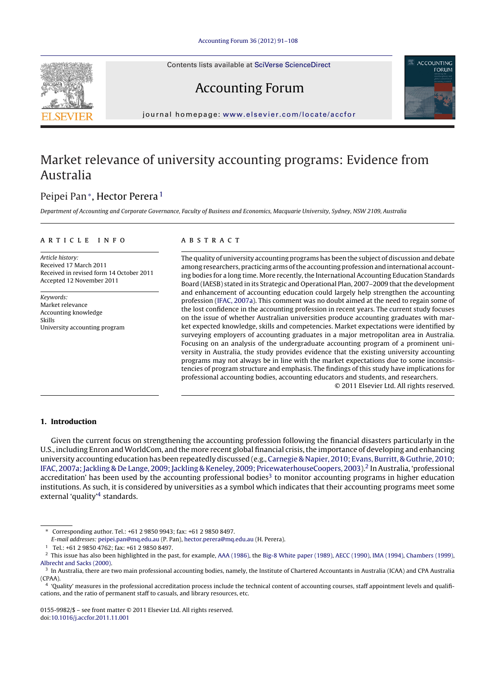Contents lists available at SciVerse [ScienceDirect](http://www.sciencedirect.com/science/journal/01559982)





Accounting Forum

jour nal homepage: [www.elsevier.com/locate/accfor](http://www.elsevier.com/locate/accfor)

## Market relevance of university accounting programs: Evidence from Australia

### Peipei Pan∗, Hector Perera <sup>1</sup>

Department of Accounting and Corporate Governance, Faculty of Business and Economics, Macquarie University, Sydney, NSW 2109, Australia

#### ARTICLE INFO

Article history: Received 17 March 2011 Received in revised form 14 October 2011 Accepted 12 November 2011

Keywords: Market relevance Accounting knowledge Skills University accounting program

#### A B S T R A C T

The quality of university accounting programs has been the subject of discussion and debate among researchers, practicing arms ofthe accounting profession and international accounting bodies for a long time. More recently, the International Accounting Education Standards Board (IAESB) stated in its Strategic and Operational Plan, 2007-2009 that the development and enhancement of accounting education could largely help strengthen the accounting profession ([IFAC,](#page--1-0) [2007a\).](#page--1-0) This comment was no doubt aimed at the need to regain some of the lost confidence in the accounting profession in recent years. The current study focuses on the issue of whether Australian universities produce accounting graduates with market expected knowledge, skills and competencies. Market expectations were identified by surveying employers of accounting graduates in a major metropolitan area in Australia. Focusing on an analysis of the undergraduate accounting program of a prominent university in Australia, the study provides evidence that the existing university accounting programs may not always be in line with the market expectations due to some inconsistencies of program structure and emphasis. The findings of this study have implications for professional accounting bodies, accounting educators and students, and researchers.

© 2011 Elsevier Ltd. All rights reserved.

#### **1. Introduction**

Given the current focus on strengthening the accounting profession following the financial disasters particularly in the U.S., including Enron and WorldCom, and the more recent global financial crisis,the importance of developing and enhancing university accounting education has been repeatedly discussed (e.g., [Carnegie](#page--1-0) [&](#page--1-0) [Napier,](#page--1-0) [2010;](#page--1-0) [Evans,](#page--1-0) [Burritt,](#page--1-0) [&](#page--1-0) [Guthrie,](#page--1-0) [2010;](#page--1-0) [IFAC,](#page--1-0) 2007a; Jackling [&](#page--1-0) [De](#page--1-0) [Lange,](#page--1-0) 2009; Jackling & [Keneley,](#page--1-0) [2009;](#page--1-0) [PricewaterhouseCoopers,](#page--1-0) 2003).<sup>2</sup> In Australia, 'professional accreditation' has been used by the accounting professional bodies $3$  to monitor accounting programs in higher education institutions. As such, it is considered by universities as a symbol which indicates that their accounting programs meet some external 'quality'<sup>4</sup> standards.

E-mail addresses: [peipei.pan@mq.edu.au](mailto:peipei.pan@mq.edu.au) (P. Pan), [hector.perera@mq.edu.au](mailto:hector.perera@mq.edu.au) (H. Perera).

<sup>∗</sup> Corresponding author. Tel.: +61 2 9850 9943; fax: +61 2 9850 8497.

<sup>1</sup> Tel.: +61 2 9850 4762; fax: +61 2 9850 8497.

<sup>&</sup>lt;sup>2</sup> This issue has also been highlighted in the past, for example, [AAA](#page--1-0) [\(1986\),](#page--1-0) the [Big-8](#page--1-0) [White](#page--1-0) [paper](#page--1-0) [\(1989\),](#page--1-0) [AECC](#page--1-0) [\(1990\),](#page--1-0) [IMA](#page--1-0) [\(1994\),](#page--1-0) [Chambers](#page--1-0) [\(1999\),](#page--1-0) [Albrecht](#page--1-0) [and](#page--1-0) [Sacks](#page--1-0) [\(2000\).](#page--1-0)

<sup>&</sup>lt;sup>3</sup> In Australia, there are two main professional accounting bodies, namely, the Institute of Chartered Accountants in Australia (ICAA) and CPA Australia (CPAA).

<sup>4</sup> 'Quality' measures in the professional accreditation process include the technical content of accounting courses, staff appointment levels and qualifications, and the ratio of permanent staff to casuals, and library resources, etc.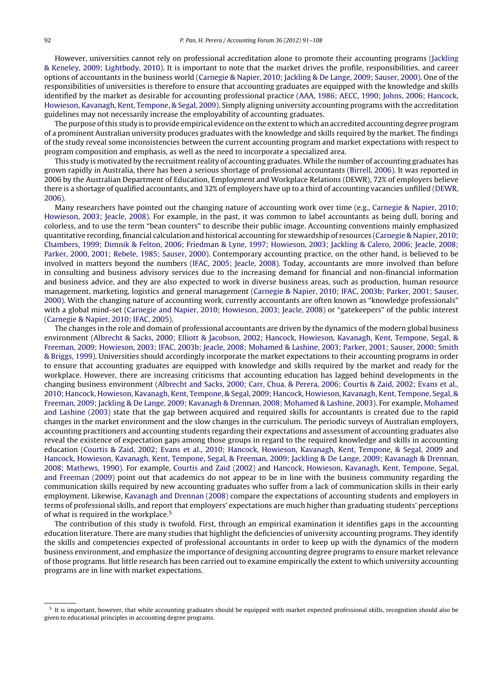However, universities cannot rely on professional accreditation alone to promote their accounting programs ([Jackling](#page--1-0) [&](#page--1-0) [Keneley,](#page--1-0) [2009;](#page--1-0) [Lightbody,](#page--1-0) [2010\).](#page--1-0) It is important to note that the market drives the profile, responsibilities, and career options of accountants in the business world [\(Carnegie](#page--1-0) [&](#page--1-0) [Napier,](#page--1-0) [2010;](#page--1-0) [Jackling](#page--1-0) [&](#page--1-0) [De](#page--1-0) [Lange,](#page--1-0) [2009;](#page--1-0) [Sauser,](#page--1-0) [2000\).](#page--1-0) One of the responsibilities of universities is therefore to ensure that accounting graduates are equipped with the knowledge and skills identified by the market as desirable for accounting professional practice [\(AAA,](#page--1-0) [1986;](#page--1-0) [AECC,](#page--1-0) [1990;](#page--1-0) [Johns,](#page--1-0) [2006;](#page--1-0) [Hancock,](#page--1-0) [Howieson,](#page--1-0) [Kavanagh,](#page--1-0) [Kent,](#page--1-0) [Tempone,](#page--1-0) [&](#page--1-0) [Segal,](#page--1-0) [2009\).](#page--1-0) Simply aligning university accounting programs with the accreditation guidelines may not necessarily increase the employability of accounting graduates.

The purpose of this study is to provide empirical evidence on the extent to which an accredited accounting degree program of a prominent Australian university produces graduates with the knowledge and skills required by the market. The findings of the study reveal some inconsistencies between the current accounting program and market expectations with respect to program composition and emphasis, as well as the need to incorporate a specialized area.

This study is motivated by the recruitment reality of accounting graduates. While the number of accounting graduates has grown rapidly in Australia, there has been a serious shortage of professional accountants [\(Birrell,](#page--1-0) [2006\).](#page--1-0) It was reported in 2006 by the Australian Department of Education, Employment and Workplace Relations (DEWR), 72% of employers believe there is a shortage of qualified accountants, and 32% of employers have up to a third of accounting vacancies unfilled [\(DEWR,](#page--1-0) [2006\).](#page--1-0)

Many researchers have pointed out the changing nature of accounting work over time (e.g., [Carnegie](#page--1-0) [&](#page--1-0) [Napier,](#page--1-0) [2010;](#page--1-0) [Howieson,](#page--1-0) [2003;](#page--1-0) [Jeacle,](#page--1-0) [2008\).](#page--1-0) For example, in the past, it was common to label accountants as being dull, boring and colorless, and to use the term "bean counters" to describe their public image. Accounting conventions mainly emphasized quantitative recording, financial calculation and historical accounting for stewardship of resources [\(Carnegie](#page--1-0) [&](#page--1-0) [Napier,](#page--1-0) [2010;](#page--1-0) [Chambers,](#page--1-0) [1999;](#page--1-0) [Dimnik](#page--1-0) [&](#page--1-0) [Felton,](#page--1-0) [2006;](#page--1-0) [Friedman](#page--1-0) [&](#page--1-0) [Lyne,](#page--1-0) [1997;](#page--1-0) [Howieson,](#page--1-0) [2003;](#page--1-0) [Jackling](#page--1-0) [&](#page--1-0) [Calero,](#page--1-0) [2006;](#page--1-0) [Jeacle,](#page--1-0) [2008;](#page--1-0) [Parker,](#page--1-0) [2000,](#page--1-0) [2001;](#page--1-0) [Rebele,](#page--1-0) [1985;](#page--1-0) [Sauser,](#page--1-0) [2000\).](#page--1-0) Contemporary accounting practice, on the other hand, is believed to be involved in matters beyond the numbers [\(IFAC,](#page--1-0) [2005;](#page--1-0) [Jeacle,](#page--1-0) [2008\).](#page--1-0) Today, accountants are more involved than before in consulting and business advisory services due to the increasing demand for financial and non-financial information and business advice, and they are also expected to work in diverse business areas, such as production, human resource management, marketing, logistics and general management ([Carnegie](#page--1-0) [&](#page--1-0) [Napier,](#page--1-0) [2010;](#page--1-0) [IFAC,](#page--1-0) [2003b;](#page--1-0) [Parker,](#page--1-0) [2001;](#page--1-0) [Sauser,](#page--1-0) [2000\).](#page--1-0) With the changing nature of accounting work, currently accountants are often known as "knowledge professionals" with a global mind-set [\(Carnegie](#page--1-0) [and](#page--1-0) [Napier,](#page--1-0) [2010;](#page--1-0) [Howieson,](#page--1-0) [2003;](#page--1-0) [Jeacle,](#page--1-0) [2008\)](#page--1-0) or "gatekeepers" of the public interest [\(Carnegie](#page--1-0) [&](#page--1-0) [Napier,](#page--1-0) [2010;](#page--1-0) [IFAC,](#page--1-0) [2005\).](#page--1-0)

The changes in the role and domain of professional accountants are driven by the dynamics of the modern global business environment ([Albrecht](#page--1-0) [&](#page--1-0) [Sacks,](#page--1-0) [2000;](#page--1-0) [Elliott](#page--1-0) [&](#page--1-0) [Jacobson,](#page--1-0) [2002;](#page--1-0) [Hancock,](#page--1-0) [Howieson,](#page--1-0) [Kavanagh,](#page--1-0) [Kent,](#page--1-0) [Tempone,](#page--1-0) [Segal,](#page--1-0) [&](#page--1-0) [Freeman,](#page--1-0) [2009;](#page--1-0) [Howieson,](#page--1-0) [2003;](#page--1-0) [IFAC,](#page--1-0) [2003b;](#page--1-0) [Jeacle,](#page--1-0) [2008;](#page--1-0) [Mohamed](#page--1-0) [&](#page--1-0) [Lashine,](#page--1-0) [2003;](#page--1-0) [Parker,](#page--1-0) [2001;](#page--1-0) [Sauser,](#page--1-0) [2000;](#page--1-0) [Smith](#page--1-0) [&](#page--1-0) [Briggs,](#page--1-0) [1999\).](#page--1-0) Universities should accordingly incorporate the market expectations to their accounting programs in order to ensure that accounting graduates are equipped with knowledge and skills required by the market and ready for the workplace. However, there are increasing criticisms that accounting education has lagged behind developments in the changing business environment [\(Albrecht](#page--1-0) [and](#page--1-0) [Sacks,](#page--1-0) [2000;](#page--1-0) [Carr,](#page--1-0) [Chua,](#page--1-0) [&](#page--1-0) [Perera,](#page--1-0) [2006;](#page--1-0) [Courtis](#page--1-0) [&](#page--1-0) [Zaid,](#page--1-0) [2002;](#page--1-0) [Evans](#page--1-0) et [al.,](#page--1-0) [2010;](#page--1-0) [Hancock,](#page--1-0) [Howieson,](#page--1-0) [Kavanagh,](#page--1-0) [Kent,](#page--1-0) [Tempone,](#page--1-0) [&](#page--1-0) [Segal,](#page--1-0) [2009;](#page--1-0) [Hancock,](#page--1-0) [Howieson,](#page--1-0) [Kavanagh,](#page--1-0) [Kent,](#page--1-0) [Tempone,](#page--1-0) [Segal,](#page--1-0) [&](#page--1-0) [Freeman,](#page--1-0) [2009;](#page--1-0) [Jackling](#page--1-0) [&](#page--1-0) [De](#page--1-0) [Lange,](#page--1-0) [2009;](#page--1-0) [Kavanagh](#page--1-0) [&](#page--1-0) [Drennan,](#page--1-0) [2008;](#page--1-0) [Mohamed](#page--1-0) [&](#page--1-0) [Lashine,](#page--1-0) [2003\).](#page--1-0) For example, [Mohamed](#page--1-0) [and](#page--1-0) [Lashine](#page--1-0) [\(2003\)](#page--1-0) state that the gap between acquired and required skills for accountants is created due to the rapid changes in the market environment and the slow changes in the curriculum. The periodic surveys of Australian employers, accounting practitioners and accounting students regarding their expectations and assessment of accounting graduates also reveal the existence of expectation gaps among those groups in regard to the required knowledge and skills in accounting education ([Courtis](#page--1-0) [&](#page--1-0) [Zaid,](#page--1-0) [2002;](#page--1-0) [Evans](#page--1-0) et [al.,](#page--1-0) [2010;](#page--1-0) [Hancock,](#page--1-0) [Howieson,](#page--1-0) [Kavanagh,](#page--1-0) [Kent,](#page--1-0) [Tempone,](#page--1-0) [&](#page--1-0) [Segal,](#page--1-0) [2009](#page--1-0) and [Hancock,](#page--1-0) [Howieson,](#page--1-0) [Kavanagh,](#page--1-0) [Kent,](#page--1-0) [Tempone,](#page--1-0) [Segal,](#page--1-0) [&](#page--1-0) [Freeman,](#page--1-0) [2009;](#page--1-0) [Jackling](#page--1-0) [&](#page--1-0) [De](#page--1-0) [Lange,](#page--1-0) [2009;](#page--1-0) [Kavanagh](#page--1-0) [&](#page--1-0) [Drennan,](#page--1-0) [2008;](#page--1-0) [Mathews,](#page--1-0) [1990\).](#page--1-0) For example, [Courtis](#page--1-0) [and](#page--1-0) [Zaid](#page--1-0) [\(2002\)](#page--1-0) and [Hancock,](#page--1-0) [Howieson,](#page--1-0) [Kavanagh,](#page--1-0) [Kent,](#page--1-0) [Tempone,](#page--1-0) [Segal,](#page--1-0) [and](#page--1-0) [Freeman](#page--1-0) [\(2009\)](#page--1-0) point out that academics do not appear to be in line with the business community regarding the communication skills required by new accounting graduates who suffer from a lack of communication skills in their early employment. Likewise, [Kavanagh](#page--1-0) [and](#page--1-0) [Drennan](#page--1-0) [\(2008\)](#page--1-0) compare the expectations of accounting students and employers in terms of professional skills, and report that employers' expectations are much higher than graduating students' perceptions of what is required in the workplace.5

The contribution of this study is twofold. First, through an empirical examination it identifies gaps in the accounting education literature. There are many studies that highlight the deficiencies of university accounting programs. They identify the skills and competencies expected of professional accountants in order to keep up with the dynamics of the modern business environment, and emphasize the importance of designing accounting degree programs to ensure market relevance of those programs. But little research has been carried out to examine empirically the extent to which university accounting programs are in line with market expectations.

<sup>5</sup> It is important, however, that while accounting graduates should be equipped with market expected professional skills, recognition should also be given to educational principles in accounting degree programs.